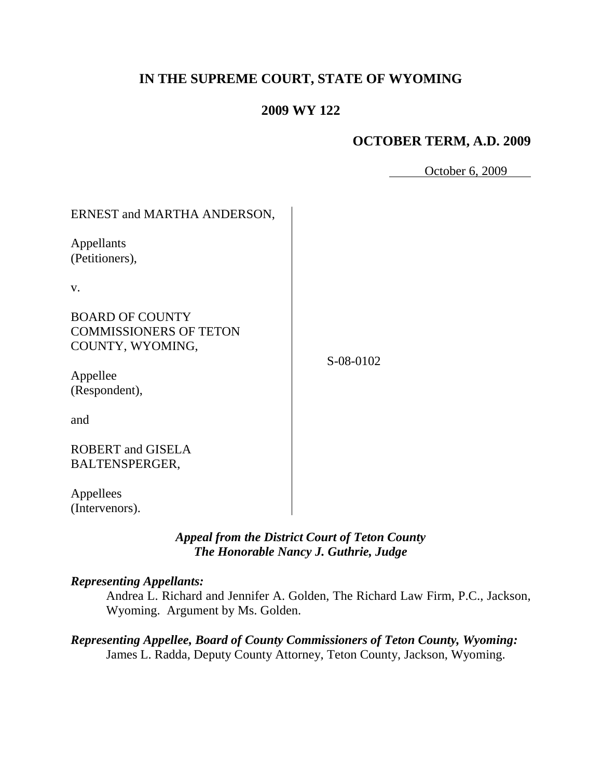# **IN THE SUPREME COURT, STATE OF WYOMING**

## **2009 WY 122**

## **OCTOBER TERM, A.D. 2009**

October 6, 2009

| ERNEST and MARTHA ANDERSON,                                                 |           |
|-----------------------------------------------------------------------------|-----------|
| Appellants<br>(Petitioners),                                                |           |
| V.                                                                          |           |
| <b>BOARD OF COUNTY</b><br><b>COMMISSIONERS OF TETON</b><br>COUNTY, WYOMING, | S-08-0102 |
| Appellee<br>(Respondent),                                                   |           |
| and                                                                         |           |
| <b>ROBERT</b> and GISELA<br><b>BALTENSPERGER,</b>                           |           |
| Appellees<br>(Intervenors).                                                 |           |

## *Appeal from the District Court of Teton County The Honorable Nancy J. Guthrie, Judge*

### *Representing Appellants:*

Andrea L. Richard and Jennifer A. Golden, The Richard Law Firm, P.C., Jackson, Wyoming. Argument by Ms. Golden.

*Representing Appellee, Board of County Commissioners of Teton County, Wyoming:* James L. Radda, Deputy County Attorney, Teton County, Jackson, Wyoming.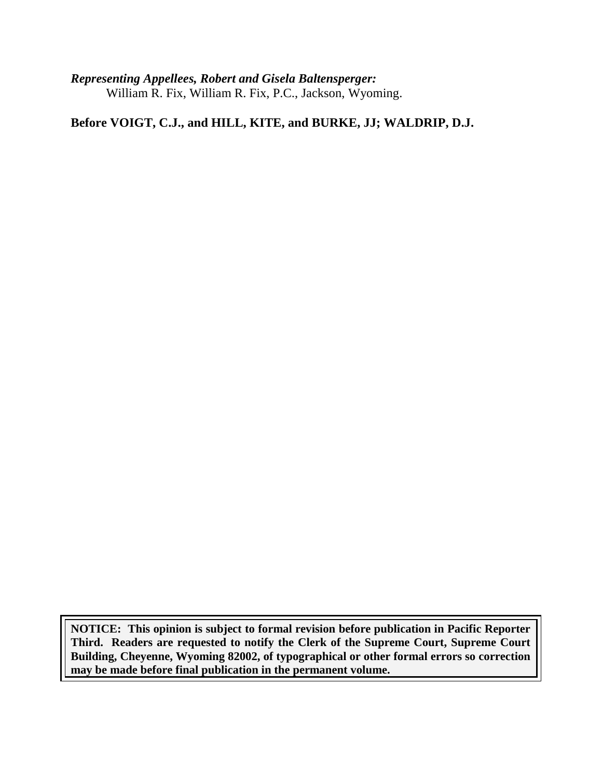*Representing Appellees, Robert and Gisela Baltensperger:* William R. Fix, William R. Fix, P.C., Jackson, Wyoming.

**Before VOIGT, C.J., and HILL, KITE, and BURKE, JJ; WALDRIP, D.J.**

**NOTICE: This opinion is subject to formal revision before publication in Pacific Reporter Third. Readers are requested to notify the Clerk of the Supreme Court, Supreme Court Building, Cheyenne, Wyoming 82002, of typographical or other formal errors so correction may be made before final publication in the permanent volume.**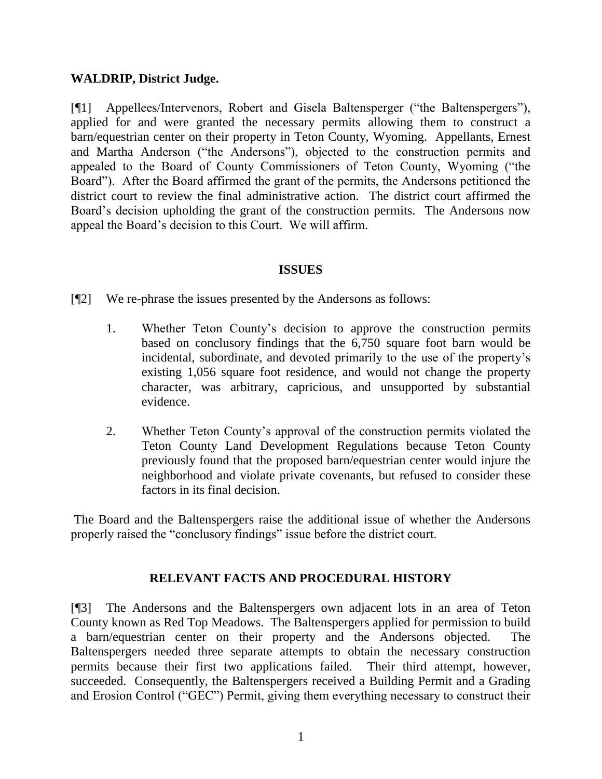### **WALDRIP, District Judge.**

[¶1] Appellees/Intervenors, Robert and Gisela Baltensperger ("the Baltenspergers"), applied for and were granted the necessary permits allowing them to construct a barn/equestrian center on their property in Teton County, Wyoming. Appellants, Ernest and Martha Anderson ("the Andersons"), objected to the construction permits and appealed to the Board of County Commissioners of Teton County, Wyoming ("the Board"). After the Board affirmed the grant of the permits, the Andersons petitioned the district court to review the final administrative action. The district court affirmed the Board"s decision upholding the grant of the construction permits. The Andersons now appeal the Board"s decision to this Court. We will affirm.

#### **ISSUES**

[¶2] We re-phrase the issues presented by the Andersons as follows:

- 1. Whether Teton County"s decision to approve the construction permits based on conclusory findings that the 6,750 square foot barn would be incidental, subordinate, and devoted primarily to the use of the property"s existing 1,056 square foot residence, and would not change the property character, was arbitrary, capricious, and unsupported by substantial evidence.
- 2. Whether Teton County"s approval of the construction permits violated the Teton County Land Development Regulations because Teton County previously found that the proposed barn/equestrian center would injure the neighborhood and violate private covenants, but refused to consider these factors in its final decision.

The Board and the Baltenspergers raise the additional issue of whether the Andersons properly raised the "conclusory findings" issue before the district court.

### **RELEVANT FACTS AND PROCEDURAL HISTORY**

[¶3] The Andersons and the Baltenspergers own adjacent lots in an area of Teton County known as Red Top Meadows. The Baltenspergers applied for permission to build a barn/equestrian center on their property and the Andersons objected. The Baltenspergers needed three separate attempts to obtain the necessary construction permits because their first two applications failed. Their third attempt, however, succeeded. Consequently, the Baltenspergers received a Building Permit and a Grading and Erosion Control ("GEC") Permit, giving them everything necessary to construct their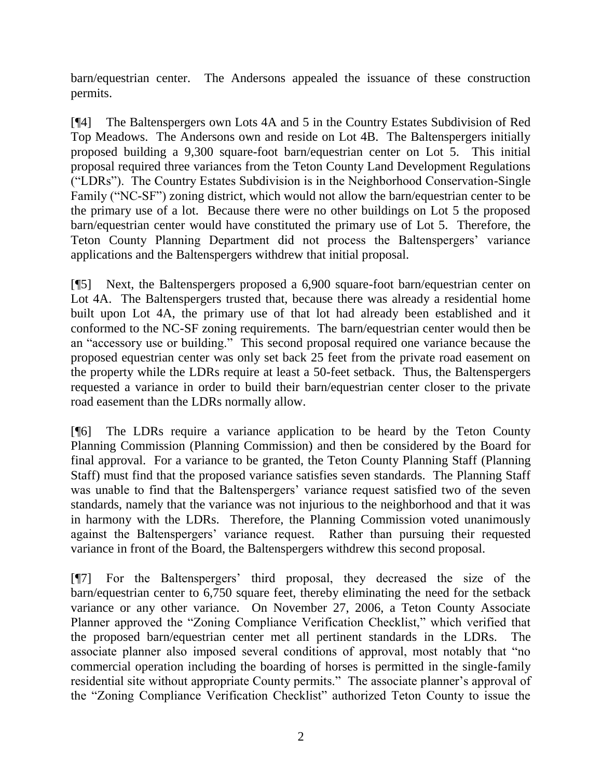barn/equestrian center. The Andersons appealed the issuance of these construction permits.

[¶4] The Baltenspergers own Lots 4A and 5 in the Country Estates Subdivision of Red Top Meadows. The Andersons own and reside on Lot 4B. The Baltenspergers initially proposed building a 9,300 square-foot barn/equestrian center on Lot 5. This initial proposal required three variances from the Teton County Land Development Regulations ("LDRs"). The Country Estates Subdivision is in the Neighborhood Conservation-Single Family ("NC-SF") zoning district, which would not allow the barn/equestrian center to be the primary use of a lot. Because there were no other buildings on Lot 5 the proposed barn/equestrian center would have constituted the primary use of Lot 5. Therefore, the Teton County Planning Department did not process the Baltenspergers' variance applications and the Baltenspergers withdrew that initial proposal.

[¶5] Next, the Baltenspergers proposed a 6,900 square-foot barn/equestrian center on Lot 4A. The Baltenspergers trusted that, because there was already a residential home built upon Lot 4A, the primary use of that lot had already been established and it conformed to the NC-SF zoning requirements. The barn/equestrian center would then be an "accessory use or building." This second proposal required one variance because the proposed equestrian center was only set back 25 feet from the private road easement on the property while the LDRs require at least a 50-feet setback. Thus, the Baltenspergers requested a variance in order to build their barn/equestrian center closer to the private road easement than the LDRs normally allow.

[¶6] The LDRs require a variance application to be heard by the Teton County Planning Commission (Planning Commission) and then be considered by the Board for final approval. For a variance to be granted, the Teton County Planning Staff (Planning Staff) must find that the proposed variance satisfies seven standards. The Planning Staff was unable to find that the Baltenspergers' variance request satisfied two of the seven standards, namely that the variance was not injurious to the neighborhood and that it was in harmony with the LDRs. Therefore, the Planning Commission voted unanimously against the Baltenspergers' variance request. Rather than pursuing their requested variance in front of the Board, the Baltenspergers withdrew this second proposal.

[¶7] For the Baltenspergers" third proposal, they decreased the size of the barn/equestrian center to 6,750 square feet, thereby eliminating the need for the setback variance or any other variance. On November 27, 2006, a Teton County Associate Planner approved the "Zoning Compliance Verification Checklist," which verified that the proposed barn/equestrian center met all pertinent standards in the LDRs. The associate planner also imposed several conditions of approval, most notably that "no commercial operation including the boarding of horses is permitted in the single-family residential site without appropriate County permits." The associate planner's approval of the "Zoning Compliance Verification Checklist" authorized Teton County to issue the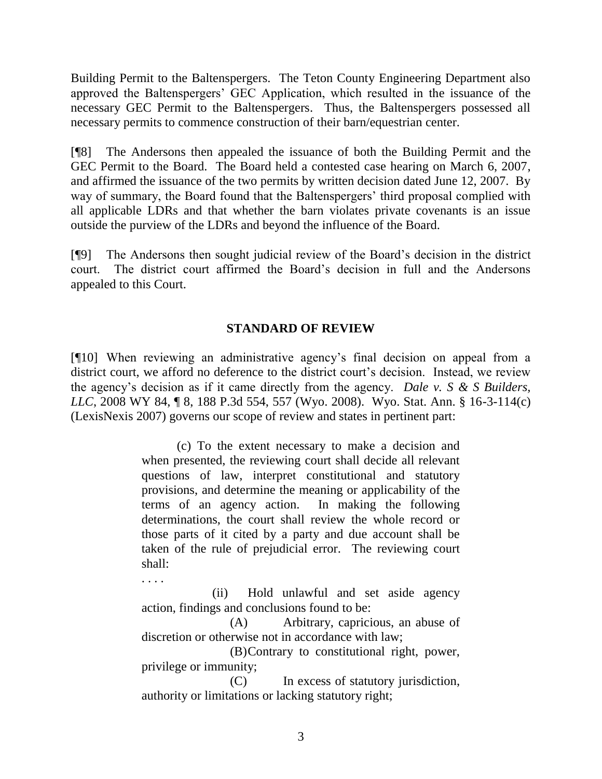Building Permit to the Baltenspergers. The Teton County Engineering Department also approved the Baltenspergers" GEC Application, which resulted in the issuance of the necessary GEC Permit to the Baltenspergers. Thus, the Baltenspergers possessed all necessary permits to commence construction of their barn/equestrian center.

[¶8] The Andersons then appealed the issuance of both the Building Permit and the GEC Permit to the Board. The Board held a contested case hearing on March 6, 2007, and affirmed the issuance of the two permits by written decision dated June 12, 2007. By way of summary, the Board found that the Baltenspergers' third proposal complied with all applicable LDRs and that whether the barn violates private covenants is an issue outside the purview of the LDRs and beyond the influence of the Board.

[¶9] The Andersons then sought judicial review of the Board"s decision in the district court. The district court affirmed the Board"s decision in full and the Andersons appealed to this Court.

## **STANDARD OF REVIEW**

[¶10] When reviewing an administrative agency"s final decision on appeal from a district court, we afford no deference to the district court's decision. Instead, we review the agency"s decision as if it came directly from the agency. *Dale v. S & S Builders, LLC*, 2008 WY 84, ¶ 8, 188 P.3d 554, 557 (Wyo. 2008). Wyo. Stat. Ann. § 16-3-114(c) (LexisNexis 2007) governs our scope of review and states in pertinent part:

> (c) To the extent necessary to make a decision and when presented, the reviewing court shall decide all relevant questions of law, interpret constitutional and statutory provisions, and determine the meaning or applicability of the terms of an agency action. In making the following determinations, the court shall review the whole record or those parts of it cited by a party and due account shall be taken of the rule of prejudicial error. The reviewing court shall:

(ii) Hold unlawful and set aside agency action, findings and conclusions found to be:

. . . .

(A) Arbitrary, capricious, an abuse of discretion or otherwise not in accordance with law;

(B)Contrary to constitutional right, power, privilege or immunity;

(C) In excess of statutory jurisdiction, authority or limitations or lacking statutory right;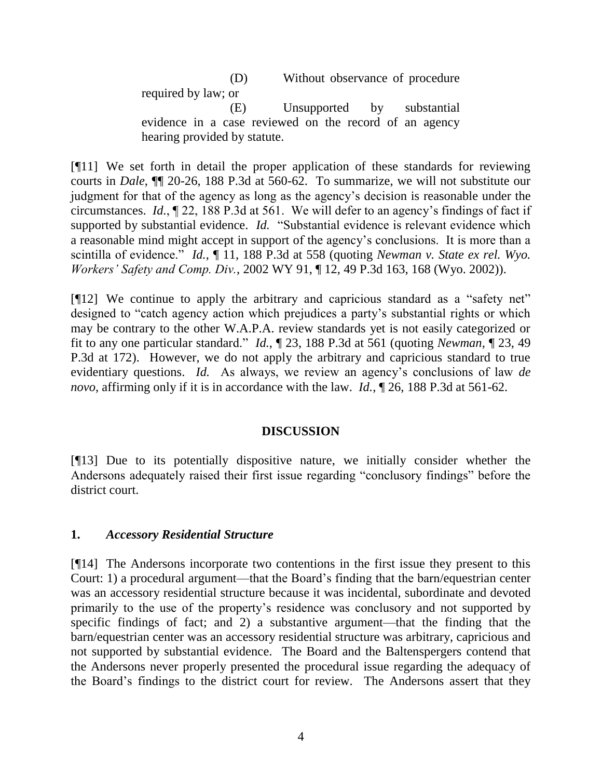(D) Without observance of procedure required by law; or (E) Unsupported by substantial

evidence in a case reviewed on the record of an agency hearing provided by statute.

[¶11] We set forth in detail the proper application of these standards for reviewing courts in *Dale*, ¶¶ 20-26, 188 P.3d at 560-62. To summarize, we will not substitute our judgment for that of the agency as long as the agency"s decision is reasonable under the circumstances. *Id.*, ¶ 22, 188 P.3d at 561. We will defer to an agency"s findings of fact if supported by substantial evidence. *Id.* "Substantial evidence is relevant evidence which a reasonable mind might accept in support of the agency"s conclusions. It is more than a scintilla of evidence." *Id.*, ¶ 11, 188 P.3d at 558 (quoting *Newman v. State ex rel. Wyo. Workers' Safety and Comp. Div.*, 2002 WY 91, ¶ 12, 49 P.3d 163, 168 (Wyo. 2002)).

[¶12] We continue to apply the arbitrary and capricious standard as a "safety net" designed to "catch agency action which prejudices a party"s substantial rights or which may be contrary to the other W.A.P.A. review standards yet is not easily categorized or fit to any one particular standard." *Id.*, ¶ 23, 188 P.3d at 561 (quoting *Newman,* ¶ 23, 49 P.3d at 172). However, we do not apply the arbitrary and capricious standard to true evidentiary questions. *Id.* As always, we review an agency"s conclusions of law *de novo*, affirming only if it is in accordance with the law. *Id.*, ¶ 26, 188 P.3d at 561-62.

#### **DISCUSSION**

[¶13] Due to its potentially dispositive nature, we initially consider whether the Andersons adequately raised their first issue regarding "conclusory findings" before the district court.

#### **1.** *Accessory Residential Structure*

[¶14] The Andersons incorporate two contentions in the first issue they present to this Court: 1) a procedural argument—that the Board"s finding that the barn/equestrian center was an accessory residential structure because it was incidental, subordinate and devoted primarily to the use of the property"s residence was conclusory and not supported by specific findings of fact; and 2) a substantive argument—that the finding that the barn/equestrian center was an accessory residential structure was arbitrary, capricious and not supported by substantial evidence. The Board and the Baltenspergers contend that the Andersons never properly presented the procedural issue regarding the adequacy of the Board"s findings to the district court for review. The Andersons assert that they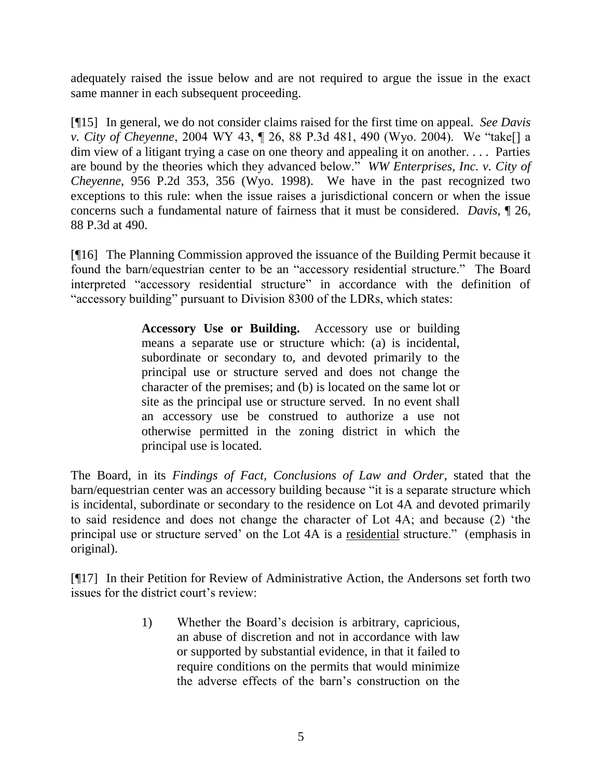adequately raised the issue below and are not required to argue the issue in the exact same manner in each subsequent proceeding.

[¶15] In general, we do not consider claims raised for the first time on appeal. *See Davis v. City of Cheyenne*, 2004 WY 43, ¶ 26, 88 P.3d 481, 490 (Wyo. 2004). We "take[] a dim view of a litigant trying a case on one theory and appealing it on another. . . . Parties are bound by the theories which they advanced below." *WW Enterprises, Inc. v. City of Cheyenne*, 956 P.2d 353, 356 (Wyo. 1998). We have in the past recognized two exceptions to this rule: when the issue raises a jurisdictional concern or when the issue concerns such a fundamental nature of fairness that it must be considered. *Davis,* ¶ 26, 88 P.3d at 490.

[¶16] The Planning Commission approved the issuance of the Building Permit because it found the barn/equestrian center to be an "accessory residential structure." The Board interpreted "accessory residential structure" in accordance with the definition of "accessory building" pursuant to Division 8300 of the LDRs, which states:

> **Accessory Use or Building.** Accessory use or building means a separate use or structure which: (a) is incidental, subordinate or secondary to, and devoted primarily to the principal use or structure served and does not change the character of the premises; and (b) is located on the same lot or site as the principal use or structure served. In no event shall an accessory use be construed to authorize a use not otherwise permitted in the zoning district in which the principal use is located.

The Board, in its *Findings of Fact, Conclusions of Law and Order*, stated that the barn/equestrian center was an accessory building because "it is a separate structure which is incidental, subordinate or secondary to the residence on Lot 4A and devoted primarily to said residence and does not change the character of Lot 4A; and because (2) "the principal use or structure served" on the Lot 4A is a residential structure." (emphasis in original).

[¶17] In their Petition for Review of Administrative Action, the Andersons set forth two issues for the district court's review.

> 1) Whether the Board"s decision is arbitrary, capricious, an abuse of discretion and not in accordance with law or supported by substantial evidence, in that it failed to require conditions on the permits that would minimize the adverse effects of the barn"s construction on the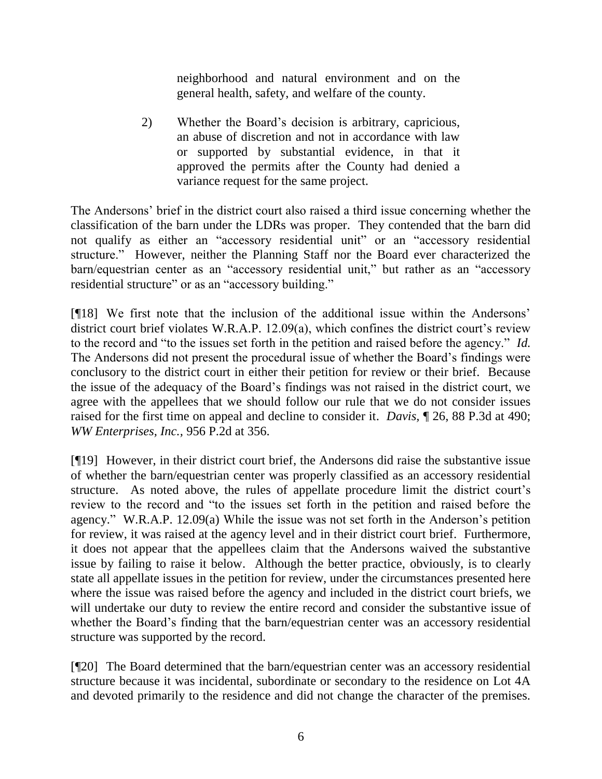neighborhood and natural environment and on the general health, safety, and welfare of the county.

2) Whether the Board"s decision is arbitrary, capricious, an abuse of discretion and not in accordance with law or supported by substantial evidence, in that it approved the permits after the County had denied a variance request for the same project.

The Andersons" brief in the district court also raised a third issue concerning whether the classification of the barn under the LDRs was proper. They contended that the barn did not qualify as either an "accessory residential unit" or an "accessory residential structure." However, neither the Planning Staff nor the Board ever characterized the barn/equestrian center as an "accessory residential unit," but rather as an "accessory residential structure" or as an "accessory building."

[¶18] We first note that the inclusion of the additional issue within the Andersons" district court brief violates W.R.A.P.  $12.09(a)$ , which confines the district court's review to the record and "to the issues set forth in the petition and raised before the agency." *Id.* The Andersons did not present the procedural issue of whether the Board"s findings were conclusory to the district court in either their petition for review or their brief. Because the issue of the adequacy of the Board"s findings was not raised in the district court, we agree with the appellees that we should follow our rule that we do not consider issues raised for the first time on appeal and decline to consider it. *Davis,* ¶ 26, 88 P.3d at 490; *WW Enterprises, Inc.,* 956 P.2d at 356.

[¶19] However, in their district court brief, the Andersons did raise the substantive issue of whether the barn/equestrian center was properly classified as an accessory residential structure. As noted above, the rules of appellate procedure limit the district court's review to the record and "to the issues set forth in the petition and raised before the agency." W.R.A.P. 12.09(a) While the issue was not set forth in the Anderson"s petition for review, it was raised at the agency level and in their district court brief. Furthermore, it does not appear that the appellees claim that the Andersons waived the substantive issue by failing to raise it below. Although the better practice, obviously, is to clearly state all appellate issues in the petition for review, under the circumstances presented here where the issue was raised before the agency and included in the district court briefs, we will undertake our duty to review the entire record and consider the substantive issue of whether the Board's finding that the barn/equestrian center was an accessory residential structure was supported by the record.

[¶20] The Board determined that the barn/equestrian center was an accessory residential structure because it was incidental, subordinate or secondary to the residence on Lot 4A and devoted primarily to the residence and did not change the character of the premises.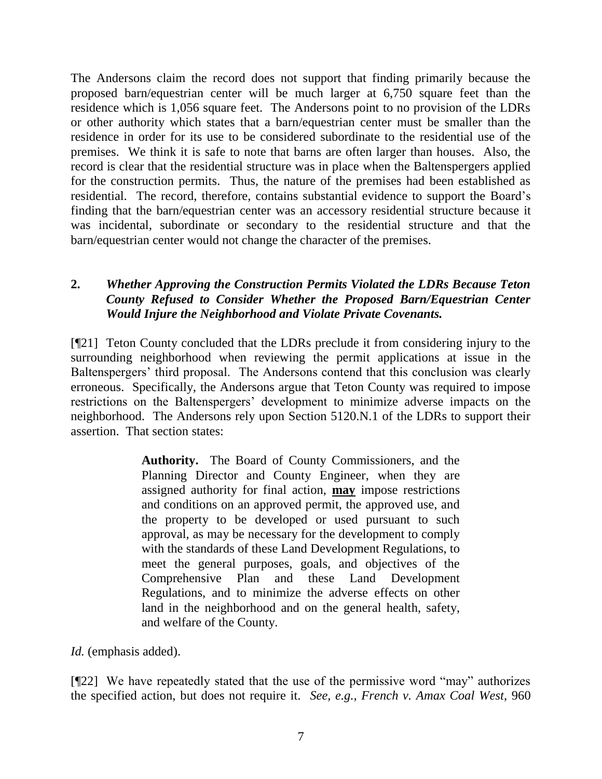The Andersons claim the record does not support that finding primarily because the proposed barn/equestrian center will be much larger at 6,750 square feet than the residence which is 1,056 square feet. The Andersons point to no provision of the LDRs or other authority which states that a barn/equestrian center must be smaller than the residence in order for its use to be considered subordinate to the residential use of the premises. We think it is safe to note that barns are often larger than houses. Also, the record is clear that the residential structure was in place when the Baltenspergers applied for the construction permits. Thus, the nature of the premises had been established as residential. The record, therefore, contains substantial evidence to support the Board"s finding that the barn/equestrian center was an accessory residential structure because it was incidental, subordinate or secondary to the residential structure and that the barn/equestrian center would not change the character of the premises.

## **2.** *Whether Approving the Construction Permits Violated the LDRs Because Teton County Refused to Consider Whether the Proposed Barn/Equestrian Center Would Injure the Neighborhood and Violate Private Covenants.*

[¶21] Teton County concluded that the LDRs preclude it from considering injury to the surrounding neighborhood when reviewing the permit applications at issue in the Baltenspergers' third proposal. The Andersons contend that this conclusion was clearly erroneous. Specifically, the Andersons argue that Teton County was required to impose restrictions on the Baltenspergers" development to minimize adverse impacts on the neighborhood. The Andersons rely upon Section 5120.N.1 of the LDRs to support their assertion. That section states:

> **Authority.** The Board of County Commissioners, and the Planning Director and County Engineer, when they are assigned authority for final action, **may** impose restrictions and conditions on an approved permit, the approved use, and the property to be developed or used pursuant to such approval, as may be necessary for the development to comply with the standards of these Land Development Regulations, to meet the general purposes, goals, and objectives of the Comprehensive Plan and these Land Development Regulations, and to minimize the adverse effects on other land in the neighborhood and on the general health, safety, and welfare of the County.

*Id.* (emphasis added).

[¶22] We have repeatedly stated that the use of the permissive word "may" authorizes the specified action, but does not require it. *See, e.g., French v. Amax Coal West*, 960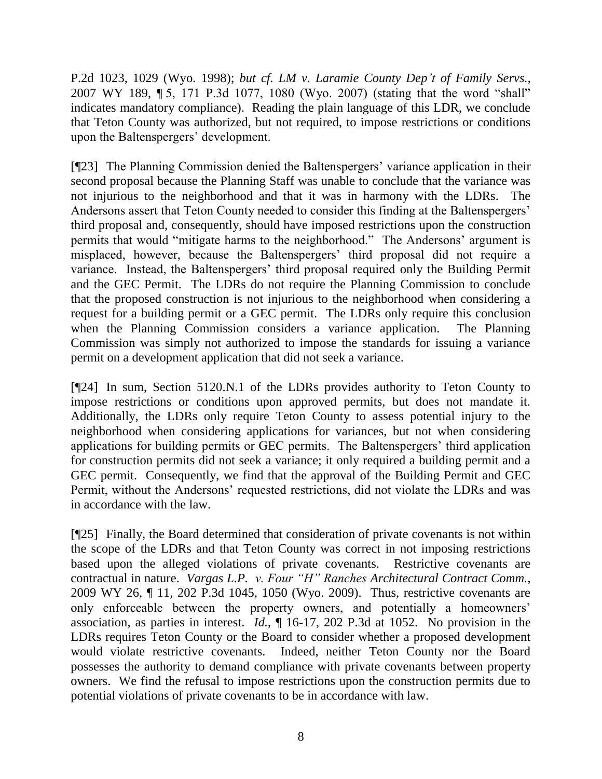P.2d 1023, 1029 (Wyo. 1998); *but cf. LM v. Laramie County Dep't of Family Servs.*, 2007 WY 189, ¶ 5, 171 P.3d 1077, 1080 (Wyo. 2007) (stating that the word "shall" indicates mandatory compliance). Reading the plain language of this LDR, we conclude that Teton County was authorized, but not required, to impose restrictions or conditions upon the Baltenspergers' development.

[¶23] The Planning Commission denied the Baltenspergers" variance application in their second proposal because the Planning Staff was unable to conclude that the variance was not injurious to the neighborhood and that it was in harmony with the LDRs. The Andersons assert that Teton County needed to consider this finding at the Baltenspergers' third proposal and, consequently, should have imposed restrictions upon the construction permits that would "mitigate harms to the neighborhood." The Andersons' argument is misplaced, however, because the Baltenspergers" third proposal did not require a variance. Instead, the Baltenspergers' third proposal required only the Building Permit and the GEC Permit. The LDRs do not require the Planning Commission to conclude that the proposed construction is not injurious to the neighborhood when considering a request for a building permit or a GEC permit. The LDRs only require this conclusion when the Planning Commission considers a variance application. The Planning Commission was simply not authorized to impose the standards for issuing a variance permit on a development application that did not seek a variance.

[¶24] In sum, Section 5120.N.1 of the LDRs provides authority to Teton County to impose restrictions or conditions upon approved permits, but does not mandate it. Additionally, the LDRs only require Teton County to assess potential injury to the neighborhood when considering applications for variances, but not when considering applications for building permits or GEC permits. The Baltenspergers' third application for construction permits did not seek a variance; it only required a building permit and a GEC permit. Consequently, we find that the approval of the Building Permit and GEC Permit, without the Andersons' requested restrictions, did not violate the LDRs and was in accordance with the law.

[¶25] Finally, the Board determined that consideration of private covenants is not within the scope of the LDRs and that Teton County was correct in not imposing restrictions based upon the alleged violations of private covenants. Restrictive covenants are contractual in nature. *Vargas L.P. v. Four "H" Ranches Architectural Contract Comm.*, 2009 WY 26, ¶ 11, 202 P.3d 1045, 1050 (Wyo. 2009). Thus, restrictive covenants are only enforceable between the property owners, and potentially a homeowners' association, as parties in interest. *Id.*, ¶ 16-17, 202 P.3d at 1052. No provision in the LDRs requires Teton County or the Board to consider whether a proposed development would violate restrictive covenants. Indeed, neither Teton County nor the Board possesses the authority to demand compliance with private covenants between property owners. We find the refusal to impose restrictions upon the construction permits due to potential violations of private covenants to be in accordance with law.